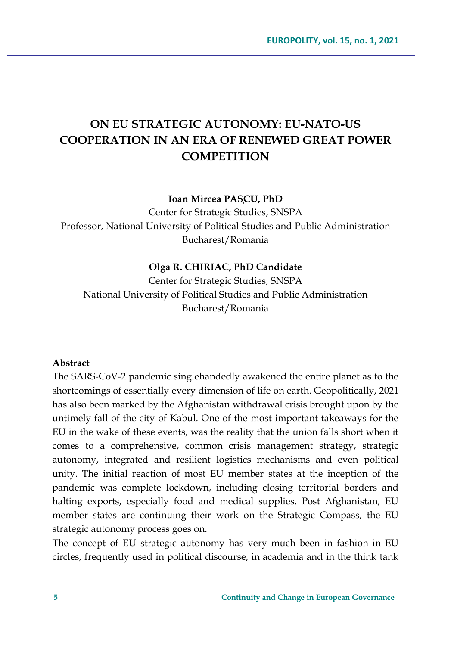# **ON EU STRATEGIC AUTONOMY: EU-NATO-US COOPERATION IN AN ERA OF RENEWED GREAT POWER COMPETITION**

**Ioan Mircea PAȘCU, PhD**

Center for Strategic Studies, SNSPA Professor, National University of Political Studies and Public Administration Bucharest/Romania

#### **Olga R. CHIRIAC, PhD Candidate**

Center for Strategic Studies, SNSPA National University of Political Studies and Public Administration Bucharest/Romania

### **Abstract**

The SARS-CoV-2 pandemic singlehandedly awakened the entire planet as to the shortcomings of essentially every dimension of life on earth. Geopolitically, 2021 has also been marked by the Afghanistan withdrawal crisis brought upon by the untimely fall of the city of Kabul. One of the most important takeaways for the EU in the wake of these events, was the reality that the union falls short when it comes to a comprehensive, common crisis management strategy, strategic autonomy, integrated and resilient logistics mechanisms and even political unity. The initial reaction of most EU member states at the inception of the pandemic was complete lockdown, including closing territorial borders and halting exports, especially food and medical supplies. Post Afghanistan, EU member states are continuing their work on the Strategic Compass, the EU strategic autonomy process goes on.

The concept of EU strategic autonomy has very much been in fashion in EU circles, frequently used in political discourse, in academia and in the think tank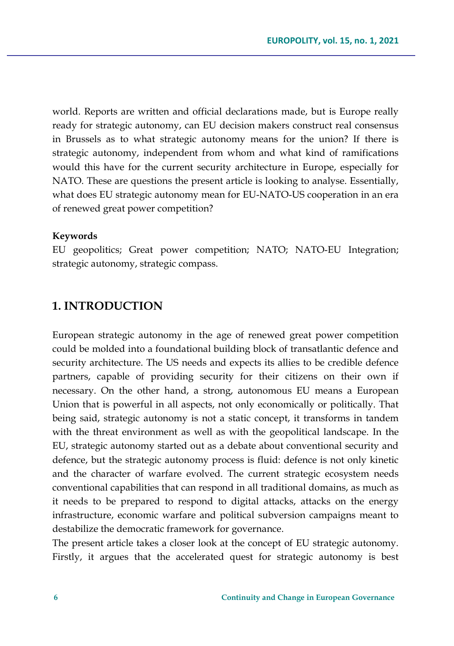world. Reports are written and official declarations made, but is Europe really ready for strategic autonomy, can EU decision makers construct real consensus in Brussels as to what strategic autonomy means for the union? If there is strategic autonomy, independent from whom and what kind of ramifications would this have for the current security architecture in Europe, especially for NATO. These are questions the present article is looking to analyse. Essentially, what does EU strategic autonomy mean for EU-NATO-US cooperation in an era of renewed great power competition?

#### **Keywords**

EU geopolitics; Great power competition; NATO; NATO-EU Integration; strategic autonomy, strategic compass.

### **1. INTRODUCTION**

European strategic autonomy in the age of renewed great power competition could be molded into a foundational building block of transatlantic defence and security architecture. The US needs and expects its allies to be credible defence partners, capable of providing security for their citizens on their own if necessary. On the other hand, a strong, autonomous EU means a European Union that is powerful in all aspects, not only economically or politically. That being said, strategic autonomy is not a static concept, it transforms in tandem with the threat environment as well as with the geopolitical landscape. In the EU, strategic autonomy started out as a debate about conventional security and defence, but the strategic autonomy process is fluid: defence is not only kinetic and the character of warfare evolved. The current strategic ecosystem needs conventional capabilities that can respond in all traditional domains, as much as it needs to be prepared to respond to digital attacks, attacks on the energy infrastructure, economic warfare and political subversion campaigns meant to destabilize the democratic framework for governance.

The present article takes a closer look at the concept of EU strategic autonomy. Firstly, it argues that the accelerated quest for strategic autonomy is best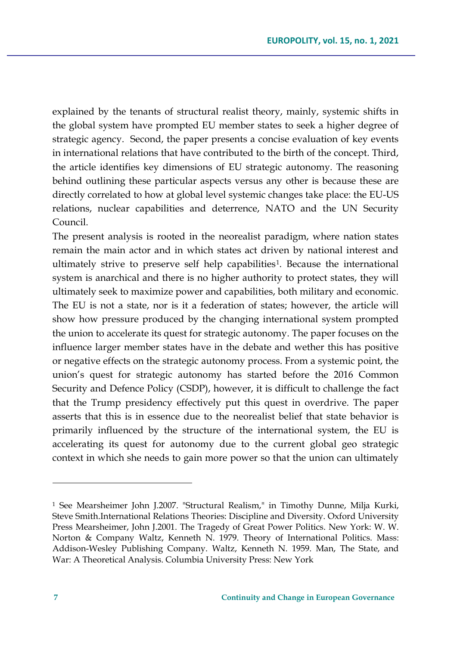explained by the tenants of structural realist theory, mainly, systemic shifts in the global system have prompted EU member states to seek a higher degree of strategic agency. Second, the paper presents a concise evaluation of key events in international relations that have contributed to the birth of the concept. Third, the article identifies key dimensions of EU strategic autonomy. The reasoning behind outlining these particular aspects versus any other is because these are directly correlated to how at global level systemic changes take place: the EU-US relations, nuclear capabilities and deterrence, NATO and the UN Security Council.

The present analysis is rooted in the neorealist paradigm, where nation states remain the main actor and in which states act driven by national interest and ultimately strive to preserve self help capabilities[1](#page-2-0). Because the international system is anarchical and there is no higher authority to protect states, they will ultimately seek to maximize power and capabilities, both military and economic. The EU is not a state, nor is it a federation of states; however, the article will show how pressure produced by the changing international system prompted the union to accelerate its quest for strategic autonomy. The paper focuses on the influence larger member states have in the debate and wether this has positive or negative effects on the strategic autonomy process. From a systemic point, the union's quest for strategic autonomy has started before the 2016 Common Security and Defence Policy (CSDP), however, it is difficult to challenge the fact that the Trump presidency effectively put this quest in overdrive. The paper asserts that this is in essence due to the neorealist belief that state behavior is primarily influenced by the structure of the international system, the EU is accelerating its quest for autonomy due to the current global geo strategic context in which she needs to gain more power so that the union can ultimately

<span id="page-2-0"></span><sup>1</sup> See Mearsheimer John J.2007. "Structural Realism," in Timothy Dunne, Milja Kurki, Steve Smith.International Relations Theories: Discipline and Diversity. Oxford University Press Mearsheimer, John J.2001. The Tragedy of Great Power Politics. New York: W. W. Norton & Company Waltz, Kenneth N. 1979. Theory of International Politics. Mass: Addison-Wesley Publishing Company. Waltz, Kenneth N. 1959. Man, The State, and War: A Theoretical Analysis. Columbia University Press: New York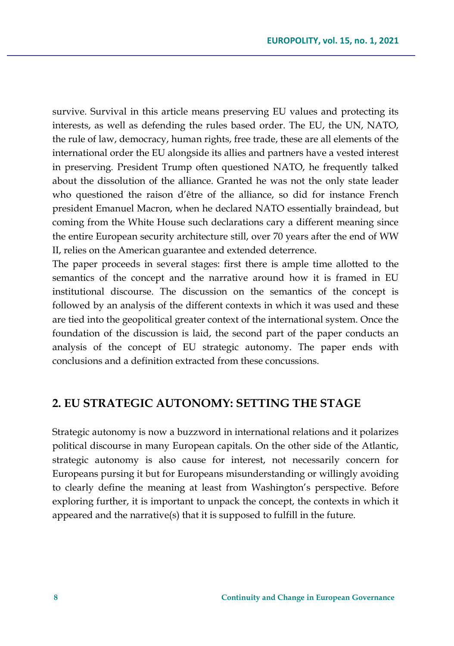survive. Survival in this article means preserving EU values and protecting its interests, as well as defending the rules based order. The EU, the UN, NATO, the rule of law, democracy, human rights, free trade, these are all elements of the international order the EU alongside its allies and partners have a vested interest in preserving. President Trump often questioned NATO, he frequently talked about the dissolution of the alliance. Granted he was not the only state leader who questioned the raison d'être of the alliance, so did for instance French president Emanuel Macron, when he declared NATO essentially braindead, but coming from the White House such declarations cary a different meaning since the entire European security architecture still, over 70 years after the end of WW II, relies on the American guarantee and extended deterrence.

The paper proceeds in several stages: first there is ample time allotted to the semantics of the concept and the narrative around how it is framed in EU institutional discourse. The discussion on the semantics of the concept is followed by an analysis of the different contexts in which it was used and these are tied into the geopolitical greater context of the international system. Once the foundation of the discussion is laid, the second part of the paper conducts an analysis of the concept of EU strategic autonomy. The paper ends with conclusions and a definition extracted from these concussions.

# **2. EU STRATEGIC AUTONOMY: SETTING THE STAGE**

Strategic autonomy is now a buzzword in international relations and it polarizes political discourse in many European capitals. On the other side of the Atlantic, strategic autonomy is also cause for interest, not necessarily concern for Europeans pursing it but for Europeans misunderstanding or willingly avoiding to clearly define the meaning at least from Washington's perspective. Before exploring further, it is important to unpack the concept, the contexts in which it appeared and the narrative(s) that it is supposed to fulfill in the future.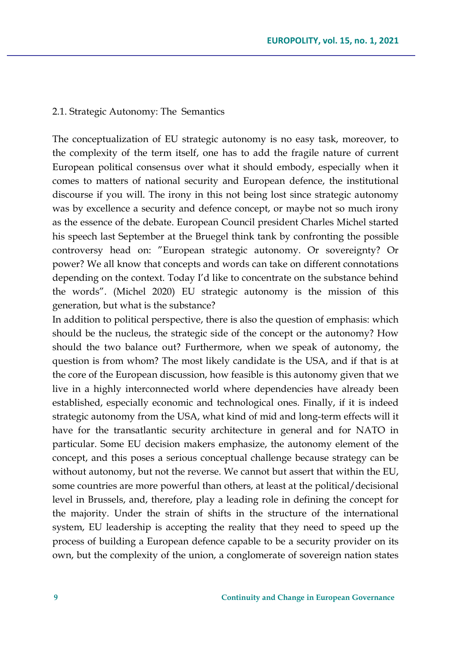#### 2.1. Strategic Autonomy: The Semantics

The conceptualization of EU strategic autonomy is no easy task, moreover, to the complexity of the term itself, one has to add the fragile nature of current European political consensus over what it should embody, especially when it comes to matters of national security and European defence, the institutional discourse if you will. The irony in this not being lost since strategic autonomy was by excellence a security and defence concept, or maybe not so much irony as the essence of the debate. European Council president Charles Michel started his speech last September at the Bruegel think tank by confronting the possible controversy head on: "European strategic autonomy. Or sovereignty? Or power? We all know that concepts and words can take on different connotations depending on the context. Today I'd like to concentrate on the substance behind the words". (Michel 2020) EU strategic autonomy is the mission of this generation, but what is the substance?

In addition to political perspective, there is also the question of emphasis: which should be the nucleus, the strategic side of the concept or the autonomy? How should the two balance out? Furthermore, when we speak of autonomy, the question is from whom? The most likely candidate is the USA, and if that is at the core of the European discussion, how feasible is this autonomy given that we live in a highly interconnected world where dependencies have already been established, especially economic and technological ones. Finally, if it is indeed strategic autonomy from the USA, what kind of mid and long-term effects will it have for the transatlantic security architecture in general and for NATO in particular. Some EU decision makers emphasize, the autonomy element of the concept, and this poses a serious conceptual challenge because strategy can be without autonomy, but not the reverse. We cannot but assert that within the EU, some countries are more powerful than others, at least at the political/decisional level in Brussels, and, therefore, play a leading role in defining the concept for the majority. Under the strain of shifts in the structure of the international system, EU leadership is accepting the reality that they need to speed up the process of building a European defence capable to be a security provider on its own, but the complexity of the union, a conglomerate of sovereign nation states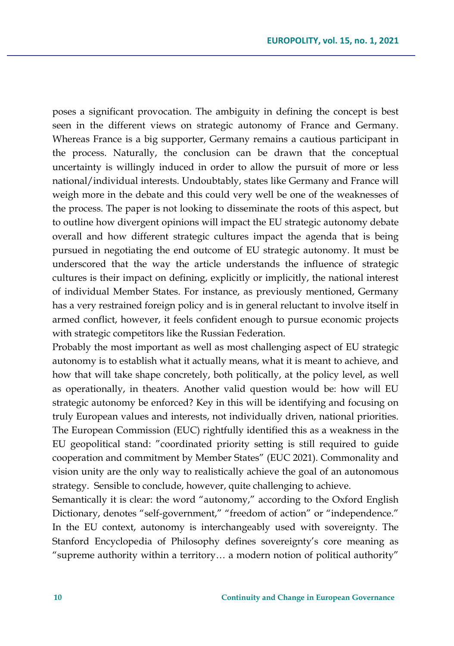poses a significant provocation. The ambiguity in defining the concept is best seen in the different views on strategic autonomy of France and Germany. Whereas France is a big supporter, Germany remains a cautious participant in the process. Naturally, the conclusion can be drawn that the conceptual uncertainty is willingly induced in order to allow the pursuit of more or less national/individual interests. Undoubtably, states like Germany and France will weigh more in the debate and this could very well be one of the weaknesses of the process. The paper is not looking to disseminate the roots of this aspect, but to outline how divergent opinions will impact the EU strategic autonomy debate overall and how different strategic cultures impact the agenda that is being pursued in negotiating the end outcome of EU strategic autonomy. It must be underscored that the way the article understands the influence of strategic cultures is their impact on defining, explicitly or implicitly, the national interest of individual Member States. For instance, as previously mentioned, Germany has a very restrained foreign policy and is in general reluctant to involve itself in armed conflict, however, it feels confident enough to pursue economic projects with strategic competitors like the Russian Federation.

Probably the most important as well as most challenging aspect of EU strategic autonomy is to establish what it actually means, what it is meant to achieve, and how that will take shape concretely, both politically, at the policy level, as well as operationally, in theaters. Another valid question would be: how will EU strategic autonomy be enforced? Key in this will be identifying and focusing on truly European values and interests, not individually driven, national priorities. The European Commission (EUC) rightfully identified this as a weakness in the EU geopolitical stand: "coordinated priority setting is still required to guide cooperation and commitment by Member States" (EUC 2021). Commonality and vision unity are the only way to realistically achieve the goal of an autonomous strategy. Sensible to conclude, however, quite challenging to achieve.

Semantically it is clear: the word "autonomy," according to the Oxford English Dictionary, denotes "self-government," "freedom of action" or "independence." In the EU context, autonomy is interchangeably used with sovereignty. The Stanford Encyclopedia of Philosophy defines sovereignty's core meaning as "supreme authority within a territory… a modern notion of political authority"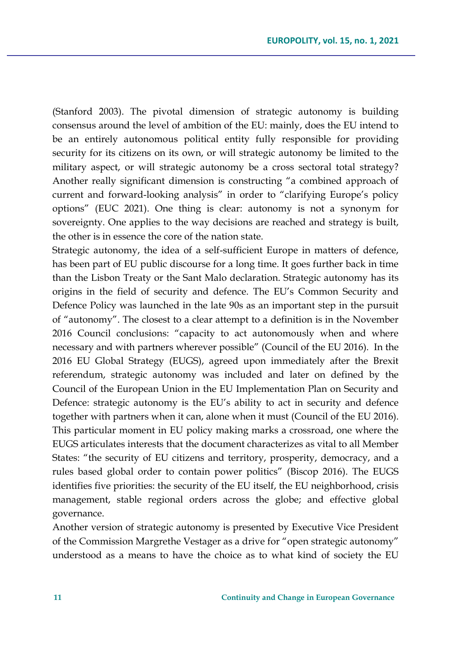(Stanford 2003). The pivotal dimension of strategic autonomy is building consensus around the level of ambition of the EU: mainly, does the EU intend to be an entirely autonomous political entity fully responsible for providing security for its citizens on its own, or will strategic autonomy be limited to the military aspect, or will strategic autonomy be a cross sectoral total strategy? Another really significant dimension is constructing "a combined approach of current and forward-looking analysis" in order to "clarifying Europe's policy options" (EUC 2021). One thing is clear: autonomy is not a synonym for sovereignty. One applies to the way decisions are reached and strategy is built, the other is in essence the core of the nation state.

Strategic autonomy, the idea of a self-sufficient Europe in matters of defence, has been part of EU public discourse for a long time. It goes further back in time than the Lisbon Treaty or the Sant Malo declaration. Strategic autonomy has its origins in the field of security and defence. The EU's Common Security and Defence Policy was launched in the late 90s as an important step in the pursuit of "autonomy". The closest to a clear attempt to a definition is in the November 2016 Council conclusions: "capacity to act autonomously when and where necessary and with partners wherever possible" (Council of the EU 2016). In the 2016 EU Global Strategy (EUGS), agreed upon immediately after the Brexit referendum, strategic autonomy was included and later on defined by the Council of the European Union in the EU Implementation Plan on Security and Defence: strategic autonomy is the EU's ability to act in security and defence together with partners when it can, alone when it must (Council of the EU 2016). This particular moment in EU policy making marks a crossroad, one where the EUGS articulates interests that the document characterizes as vital to all Member States: "the security of EU citizens and territory, prosperity, democracy, and a rules based global order to contain power politics" (Biscop 2016). The EUGS identifies five priorities: the security of the EU itself, the EU neighborhood, crisis management, stable regional orders across the globe; and effective global governance.

Another version of strategic autonomy is presented by Executive Vice President of the Commission Margrethe Vestager as a drive for "open strategic autonomy" understood as a means to have the choice as to what kind of society the EU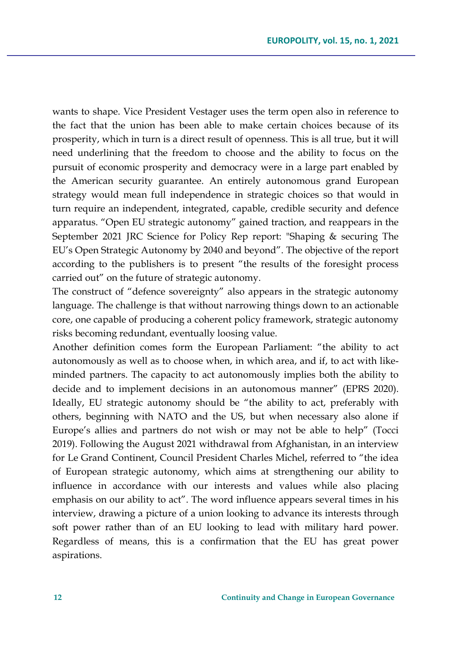wants to shape. Vice President Vestager uses the term open also in reference to the fact that the union has been able to make certain choices because of its prosperity, which in turn is a direct result of openness. This is all true, but it will need underlining that the freedom to choose and the ability to focus on the pursuit of economic prosperity and democracy were in a large part enabled by the American security guarantee. An entirely autonomous grand European strategy would mean full independence in strategic choices so that would in turn require an independent, integrated, capable, credible security and defence apparatus. "Open EU strategic autonomy" gained traction, and reappears in the September 2021 JRC Science for Policy Rep report: "Shaping & securing The EU's Open Strategic Autonomy by 2040 and beyond". The objective of the report according to the publishers is to present "the results of the foresight process carried out" on the future of strategic autonomy.

The construct of "defence sovereignty" also appears in the strategic autonomy language. The challenge is that without narrowing things down to an actionable core, one capable of producing a coherent policy framework, strategic autonomy risks becoming redundant, eventually loosing value.

Another definition comes form the European Parliament: "the ability to act autonomously as well as to choose when, in which area, and if, to act with likeminded partners. The capacity to act autonomously implies both the ability to decide and to implement decisions in an autonomous manner" (EPRS 2020). Ideally, EU strategic autonomy should be "the ability to act, preferably with others, beginning with NATO and the US, but when necessary also alone if Europe's allies and partners do not wish or may not be able to help" (Tocci 2019). Following the August 2021 withdrawal from Afghanistan, in an interview for Le Grand Continent, Council President Charles Michel, referred to "the idea of European strategic autonomy, which aims at strengthening our ability to influence in accordance with our interests and values while also placing emphasis on our ability to act". The word influence appears several times in his interview, drawing a picture of a union looking to advance its interests through soft power rather than of an EU looking to lead with military hard power. Regardless of means, this is a confirmation that the EU has great power aspirations.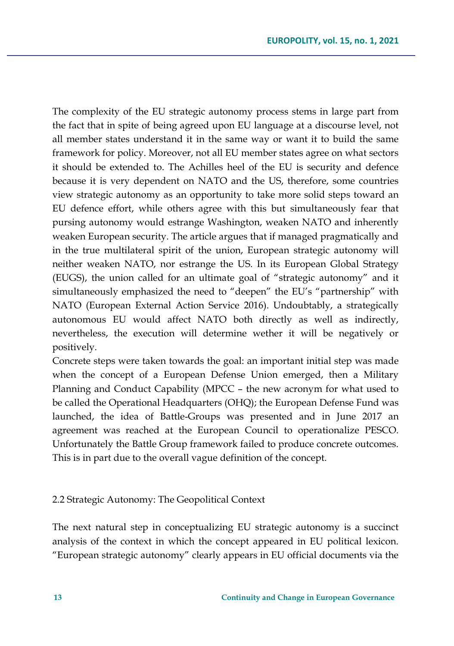The complexity of the EU strategic autonomy process stems in large part from the fact that in spite of being agreed upon EU language at a discourse level, not all member states understand it in the same way or want it to build the same framework for policy. Moreover, not all EU member states agree on what sectors it should be extended to. The Achilles heel of the EU is security and defence because it is very dependent on NATO and the US, therefore, some countries view strategic autonomy as an opportunity to take more solid steps toward an EU defence effort, while others agree with this but simultaneously fear that pursing autonomy would estrange Washington, weaken NATO and inherently weaken European security. The article argues that if managed pragmatically and in the true multilateral spirit of the union, European strategic autonomy will neither weaken NATO, nor estrange the US. In its European Global Strategy (EUGS), the union called for an ultimate goal of "strategic autonomy" and it simultaneously emphasized the need to "deepen" the EU's "partnership" with NATO (European External Action Service 2016). Undoubtably, a strategically autonomous EU would affect NATO both directly as well as indirectly, nevertheless, the execution will determine wether it will be negatively or positively.

Concrete steps were taken towards the goal: an important initial step was made when the concept of a European Defense Union emerged, then a Military Planning and Conduct Capability (MPCC – the new acronym for what used to be called the Operational Headquarters (OHQ); the European Defense Fund was launched, the idea of Battle-Groups was presented and in June 2017 an agreement was reached at the European Council to operationalize PESCO. Unfortunately the Battle Group framework failed to produce concrete outcomes. This is in part due to the overall vague definition of the concept.

#### 2.2 Strategic Autonomy: The Geopolitical Context

The next natural step in conceptualizing EU strategic autonomy is a succinct analysis of the context in which the concept appeared in EU political lexicon. "European strategic autonomy" clearly appears in EU official documents via the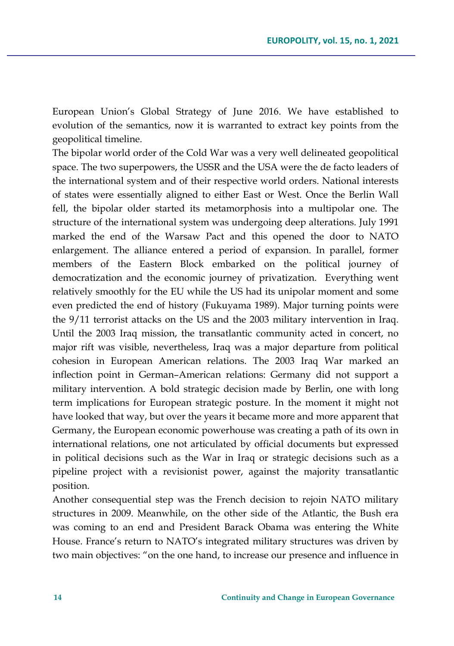European Union's Global Strategy of June 2016. We have established to evolution of the semantics, now it is warranted to extract key points from the geopolitical timeline.

The bipolar world order of the Cold War was a very well delineated geopolitical space. The two superpowers, the USSR and the USA were the de facto leaders of the international system and of their respective world orders. National interests of states were essentially aligned to either East or West. Once the Berlin Wall fell, the bipolar older started its metamorphosis into a multipolar one. The structure of the international system was undergoing deep alterations. July 1991 marked the end of the Warsaw Pact and this opened the door to NATO enlargement. The alliance entered a period of expansion. In parallel, former members of the Eastern Block embarked on the political journey of democratization and the economic journey of privatization. Everything went relatively smoothly for the EU while the US had its unipolar moment and some even predicted the end of history (Fukuyama 1989). Major turning points were the 9/11 terrorist attacks on the US and the 2003 military intervention in Iraq. Until the 2003 Iraq mission, the transatlantic community acted in concert, no major rift was visible, nevertheless, Iraq was a major departure from political cohesion in European American relations. The 2003 Iraq War marked an inflection point in German–American relations: Germany did not support a military intervention. A bold strategic decision made by Berlin, one with long term implications for European strategic posture. In the moment it might not have looked that way, but over the years it became more and more apparent that Germany, the European economic powerhouse was creating a path of its own in international relations, one not articulated by official documents but expressed in political decisions such as the War in Iraq or strategic decisions such as a pipeline project with a revisionist power, against the majority transatlantic position.

Another consequential step was the French decision to rejoin NATO military structures in 2009. Meanwhile, on the other side of the Atlantic, the Bush era was coming to an end and President Barack Obama was entering the White House. France's return to NATO's integrated military structures was driven by two main objectives: "on the one hand, to increase our presence and influence in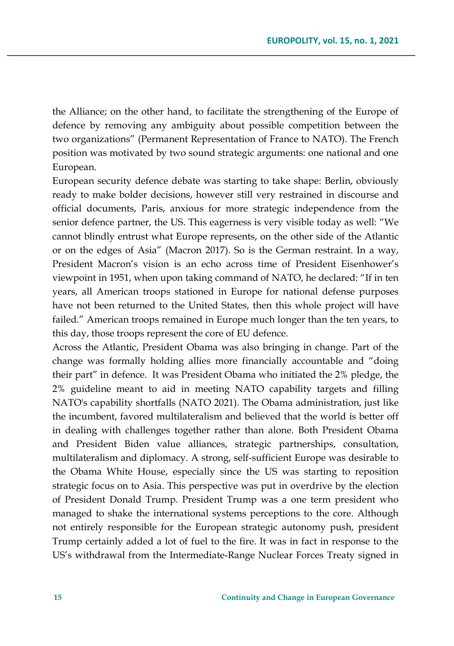the Alliance; on the other hand, to facilitate the strengthening of the Europe of defence by removing any ambiguity about possible competition between the two organizations" (Permanent Representation of France to NATO). The French position was motivated by two sound strategic arguments: one national and one European.

European security defence debate was starting to take shape: Berlin, obviously ready to make bolder decisions, however still very restrained in discourse and official documents, Paris, anxious for more strategic independence from the senior defence partner, the US. This eagerness is very visible today as well: "We cannot blindly entrust what Europe represents, on the other side of the Atlantic or on the edges of Asia" (Macron 2017). So is the German restraint. In a way, President Macron's vision is an echo across time of President Eisenhower's viewpoint in 1951, when upon taking command of NATO, he declared: "If in ten years, all American troops stationed in Europe for national defense purposes have not been returned to the United States, then this whole project will have failed." American troops remained in Europe much longer than the ten years, to this day, those troops represent the core of EU defence.

Across the Atlantic, President Obama was also bringing in change. Part of the change was formally holding allies more financially accountable and "doing their part" in defence. It was President Obama who initiated the 2% pledge, the 2% guideline meant to aid in meeting NATO capability targets and filling NATO's capability shortfalls (NATO 2021). The Obama administration, just like the incumbent, favored multilateralism and believed that the world is better off in dealing with challenges together rather than alone. Both President Obama and President Biden value alliances, strategic partnerships, consultation, multilateralism and diplomacy. A strong, self-sufficient Europe was desirable to the Obama White House, especially since the US was starting to reposition strategic focus on to Asia. This perspective was put in overdrive by the election of President Donald Trump. President Trump was a one term president who managed to shake the international systems perceptions to the core. Although not entirely responsible for the European strategic autonomy push, president Trump certainly added a lot of fuel to the fire. It was in fact in response to the US's withdrawal from the Intermediate-Range Nuclear Forces Treaty signed in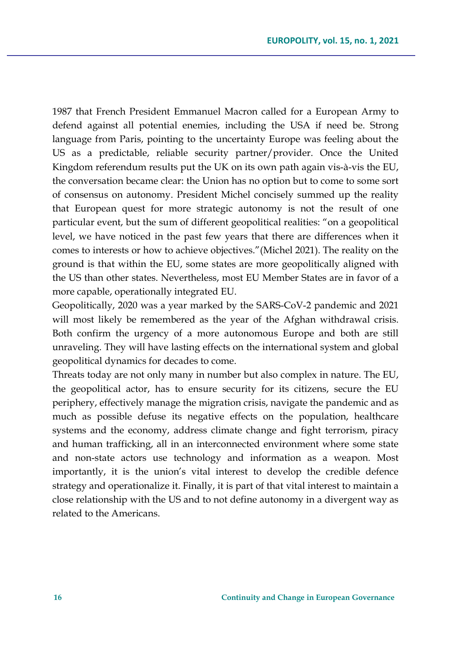1987 that French President Emmanuel Macron called for a European Army to defend against all potential enemies, including the USA if need be. Strong language from Paris, pointing to the uncertainty Europe was feeling about the US as a predictable, reliable security partner/provider. Once the United Kingdom referendum results put the UK on its own path again vis-à-vis the EU, the conversation became clear: the Union has no option but to come to some sort of consensus on autonomy. President Michel concisely summed up the reality that European quest for more strategic autonomy is not the result of one particular event, but the sum of different geopolitical realities: "on a geopolitical level, we have noticed in the past few years that there are differences when it comes to interests or how to achieve objectives."(Michel 2021). The reality on the ground is that within the EU, some states are more geopolitically aligned with the US than other states. Nevertheless, most EU Member States are in favor of a more capable, operationally integrated EU.

Geopolitically, 2020 was a year marked by the SARS-CoV-2 pandemic and 2021 will most likely be remembered as the year of the Afghan withdrawal crisis. Both confirm the urgency of a more autonomous Europe and both are still unraveling. They will have lasting effects on the international system and global geopolitical dynamics for decades to come.

Threats today are not only many in number but also complex in nature. The EU, the geopolitical actor, has to ensure security for its citizens, secure the EU periphery, effectively manage the migration crisis, navigate the pandemic and as much as possible defuse its negative effects on the population, healthcare systems and the economy, address climate change and fight terrorism, piracy and human trafficking, all in an interconnected environment where some state and non-state actors use technology and information as a weapon. Most importantly, it is the union's vital interest to develop the credible defence strategy and operationalize it. Finally, it is part of that vital interest to maintain a close relationship with the US and to not define autonomy in a divergent way as related to the Americans.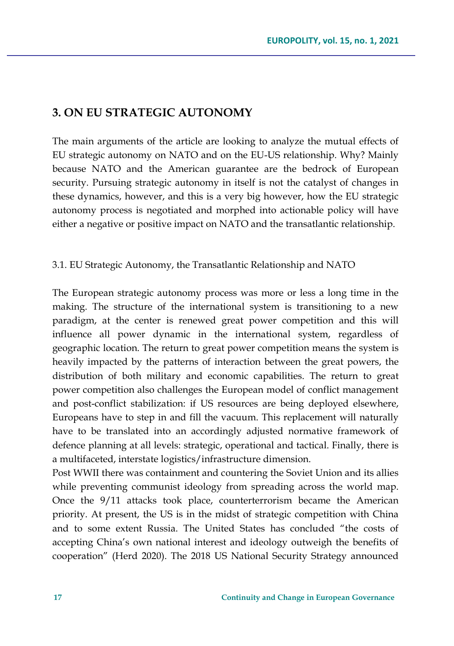# **3. ON EU STRATEGIC AUTONOMY**

The main arguments of the article are looking to analyze the mutual effects of EU strategic autonomy on NATO and on the EU-US relationship. Why? Mainly because NATO and the American guarantee are the bedrock of European security. Pursuing strategic autonomy in itself is not the catalyst of changes in these dynamics, however, and this is a very big however, how the EU strategic autonomy process is negotiated and morphed into actionable policy will have either a negative or positive impact on NATO and the transatlantic relationship.

#### 3.1. EU Strategic Autonomy, the Transatlantic Relationship and NATO

The European strategic autonomy process was more or less a long time in the making. The structure of the international system is transitioning to a new paradigm, at the center is renewed great power competition and this will influence all power dynamic in the international system, regardless of geographic location. The return to great power competition means the system is heavily impacted by the patterns of interaction between the great powers, the distribution of both military and economic capabilities. The return to great power competition also challenges the European model of conflict management and post-conflict stabilization: if US resources are being deployed elsewhere, Europeans have to step in and fill the vacuum. This replacement will naturally have to be translated into an accordingly adjusted normative framework of defence planning at all levels: strategic, operational and tactical. Finally, there is a multifaceted, interstate logistics/infrastructure dimension.

Post WWII there was containment and countering the Soviet Union and its allies while preventing communist ideology from spreading across the world map. Once the 9/11 attacks took place, counterterrorism became the American priority. At present, the US is in the midst of strategic competition with China and to some extent Russia. The United States has concluded "the costs of accepting China's own national interest and ideology outweigh the benefits of cooperation" (Herd 2020). The 2018 US National Security Strategy announced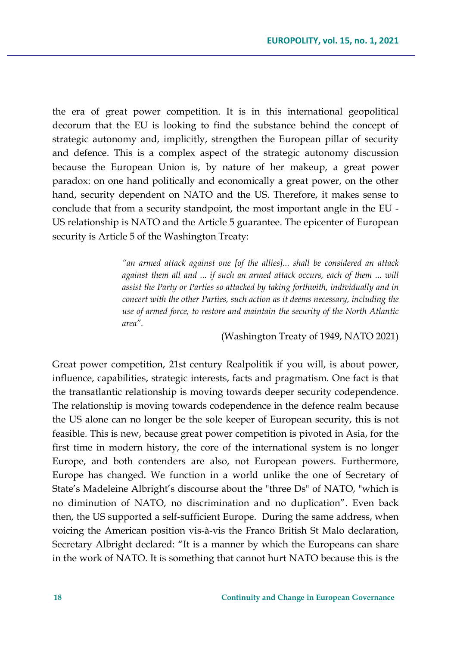the era of great power competition. It is in this international geopolitical decorum that the EU is looking to find the substance behind the concept of strategic autonomy and, implicitly, strengthen the European pillar of security and defence. This is a complex aspect of the strategic autonomy discussion because the European Union is, by nature of her makeup, a great power paradox: on one hand politically and economically a great power, on the other hand, security dependent on NATO and the US. Therefore, it makes sense to conclude that from a security standpoint, the most important angle in the EU - US relationship is NATO and the Article 5 guarantee. The epicenter of European security is Article 5 of the Washington Treaty:

> *"an armed attack against one [of the allies]... shall be considered an attack against them all and ... if such an armed attack occurs, each of them ... will assist the Party or Parties so attacked by taking forthwith, individually and in concert with the other Parties, such action as it deems necessary, including the use of armed force, to restore and maintain the security of the North Atlantic area".*

> > (Washington Treaty of 1949, NATO 2021)

Great power competition, 21st century Realpolitik if you will, is about power, influence, capabilities, strategic interests, facts and pragmatism. One fact is that the transatlantic relationship is moving towards deeper security codependence. The relationship is moving towards codependence in the defence realm because the US alone can no longer be the sole keeper of European security, this is not feasible. This is new, because great power competition is pivoted in Asia, for the first time in modern history, the core of the international system is no longer Europe, and both contenders are also, not European powers. Furthermore, Europe has changed. We function in a world unlike the one of Secretary of State's Madeleine Albright's discourse about the "three Ds" of NATO, "which is no diminution of NATO, no discrimination and no duplication". Even back then, the US supported a self-sufficient Europe. During the same address, when voicing the American position vis-à-vis the Franco British St Malo declaration, Secretary Albright declared: "It is a manner by which the Europeans can share in the work of NATO. It is something that cannot hurt NATO because this is the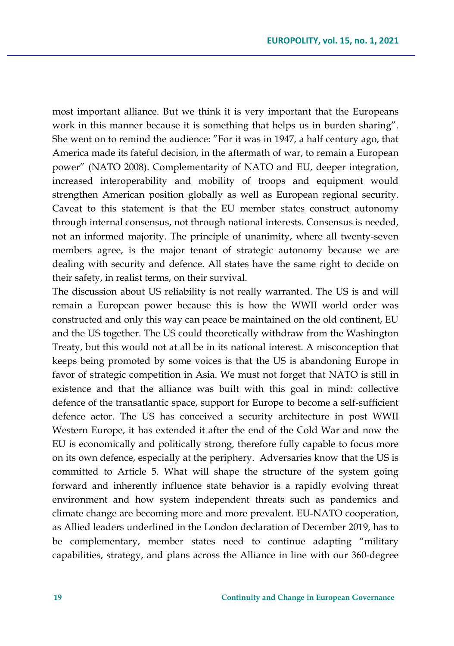most important alliance. But we think it is very important that the Europeans work in this manner because it is something that helps us in burden sharing". She went on to remind the audience: "For it was in 1947, a half century ago, that America made its fateful decision, in the aftermath of war, to remain a European power" (NATO 2008). Complementarity of NATO and EU, deeper integration, increased interoperability and mobility of troops and equipment would strengthen American position globally as well as European regional security. Caveat to this statement is that the EU member states construct autonomy through internal consensus, not through national interests. Consensus is needed, not an informed majority. The principle of unanimity, where all twenty-seven members agree, is the major tenant of strategic autonomy because we are dealing with security and defence. All states have the same right to decide on their safety, in realist terms, on their survival.

The discussion about US reliability is not really warranted. The US is and will remain a European power because this is how the WWII world order was constructed and only this way can peace be maintained on the old continent, EU and the US together. The US could theoretically withdraw from the Washington Treaty, but this would not at all be in its national interest. A misconception that keeps being promoted by some voices is that the US is abandoning Europe in favor of strategic competition in Asia. We must not forget that NATO is still in existence and that the alliance was built with this goal in mind: collective defence of the transatlantic space, support for Europe to become a self-sufficient defence actor. The US has conceived a security architecture in post WWII Western Europe, it has extended it after the end of the Cold War and now the EU is economically and politically strong, therefore fully capable to focus more on its own defence, especially at the periphery. Adversaries know that the US is committed to Article 5. What will shape the structure of the system going forward and inherently influence state behavior is a rapidly evolving threat environment and how system independent threats such as pandemics and climate change are becoming more and more prevalent. EU-NATO cooperation, as Allied leaders underlined in the London declaration of December 2019, has to be complementary, member states need to continue adapting "military capabilities, strategy, and plans across the Alliance in line with our 360-degree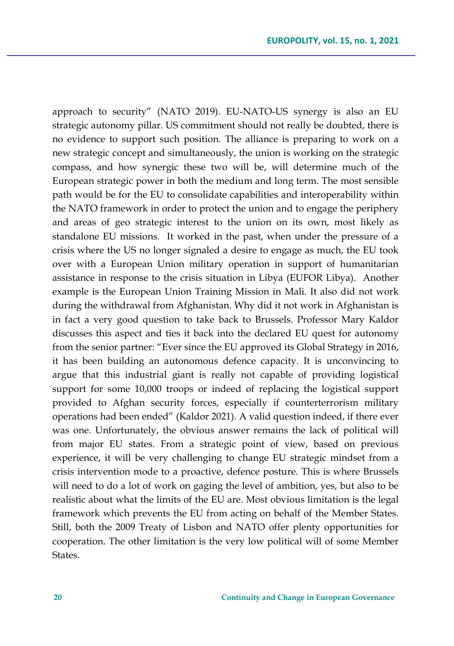approach to security" (NATO 2019). EU-NATO-US synergy is also an EU strategic autonomy pillar. US commitment should not really be doubted, there is no evidence to support such position. The alliance is preparing to work on a new strategic concept and simultaneously, the union is working on the strategic compass, and how synergic these two will be, will determine much of the European strategic power in both the medium and long term. The most sensible path would be for the EU to consolidate capabilities and interoperability within the NATO framework in order to protect the union and to engage the periphery and areas of geo strategic interest to the union on its own, most likely as standalone EU missions. It worked in the past, when under the pressure of a crisis where the US no longer signaled a desire to engage as much, the EU took over with a European Union military operation in support of humanitarian assistance in response to the crisis situation in Libya (EUFOR Libya). Another example is the European Union Training Mission in Mali. It also did not work during the withdrawal from Afghanistan. Why did it not work in Afghanistan is in fact a very good question to take back to Brussels. Professor Mary Kaldor discusses this aspect and ties it back into the declared EU quest for autonomy from the senior partner: "Ever since the EU approved its Global Strategy in 2016, it has been building an autonomous defence capacity. It is unconvincing to argue that this industrial giant is really not capable of providing logistical support for some 10,000 troops or indeed of replacing the logistical support provided to Afghan security forces, especially if counterterrorism military operations had been ended" (Kaldor 2021). A valid question indeed, if there ever was one. Unfortunately, the obvious answer remains the lack of political will from major EU states. From a strategic point of view, based on previous experience, it will be very challenging to change EU strategic mindset from a crisis intervention mode to a proactive, defence posture. This is where Brussels will need to do a lot of work on gaging the level of ambition, yes, but also to be realistic about what the limits of the EU are. Most obvious limitation is the legal framework which prevents the EU from acting on behalf of the Member States. Still, both the 2009 Treaty of Lisbon and NATO offer plenty opportunities for cooperation. The other limitation is the very low political will of some Member States.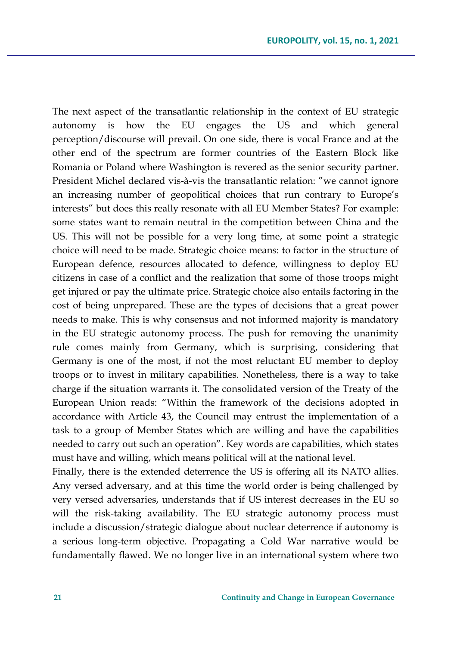The next aspect of the transatlantic relationship in the context of EU strategic autonomy is how the EU engages the US and which general perception/discourse will prevail. On one side, there is vocal France and at the other end of the spectrum are former countries of the Eastern Block like Romania or Poland where Washington is revered as the senior security partner. President Michel declared vis-à-vis the transatlantic relation: "we cannot ignore an increasing number of geopolitical choices that run contrary to Europe's interests" but does this really resonate with all EU Member States? For example: some states want to remain neutral in the competition between China and the US. This will not be possible for a very long time, at some point a strategic choice will need to be made. Strategic choice means: to factor in the structure of European defence, resources allocated to defence, willingness to deploy EU citizens in case of a conflict and the realization that some of those troops might get injured or pay the ultimate price. Strategic choice also entails factoring in the cost of being unprepared. These are the types of decisions that a great power needs to make. This is why consensus and not informed majority is mandatory in the EU strategic autonomy process. The push for removing the unanimity rule comes mainly from Germany, which is surprising, considering that Germany is one of the most, if not the most reluctant EU member to deploy troops or to invest in military capabilities. Nonetheless, there is a way to take charge if the situation warrants it. The consolidated version of the Treaty of the European Union reads: "Within the framework of the decisions adopted in accordance with Article 43, the Council may entrust the implementation of a task to a group of Member States which are willing and have the capabilities needed to carry out such an operation". Key words are capabilities, which states must have and willing, which means political will at the national level.

Finally, there is the extended deterrence the US is offering all its NATO allies. Any versed adversary, and at this time the world order is being challenged by very versed adversaries, understands that if US interest decreases in the EU so will the risk-taking availability. The EU strategic autonomy process must include a discussion/strategic dialogue about nuclear deterrence if autonomy is a serious long-term objective. Propagating a Cold War narrative would be fundamentally flawed. We no longer live in an international system where two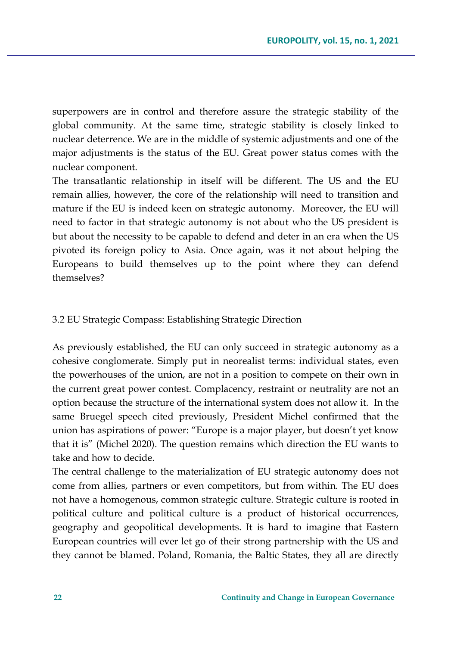superpowers are in control and therefore assure the strategic stability of the global community. At the same time, strategic stability is closely linked to nuclear deterrence. We are in the middle of systemic adjustments and one of the major adjustments is the status of the EU. Great power status comes with the nuclear component.

The transatlantic relationship in itself will be different. The US and the EU remain allies, however, the core of the relationship will need to transition and mature if the EU is indeed keen on strategic autonomy. Moreover, the EU will need to factor in that strategic autonomy is not about who the US president is but about the necessity to be capable to defend and deter in an era when the US pivoted its foreign policy to Asia. Once again, was it not about helping the Europeans to build themselves up to the point where they can defend themselves?

#### 3.2 EU Strategic Compass: Establishing Strategic Direction

As previously established, the EU can only succeed in strategic autonomy as a cohesive conglomerate. Simply put in neorealist terms: individual states, even the powerhouses of the union, are not in a position to compete on their own in the current great power contest. Complacency, restraint or neutrality are not an option because the structure of the international system does not allow it. In the same Bruegel speech cited previously, President Michel confirmed that the union has aspirations of power: "Europe is a major player, but doesn't yet know that it is" (Michel 2020). The question remains which direction the EU wants to take and how to decide.

The central challenge to the materialization of EU strategic autonomy does not come from allies, partners or even competitors, but from within. The EU does not have a homogenous, common strategic culture. Strategic culture is rooted in political culture and political culture is a product of historical occurrences, geography and geopolitical developments. It is hard to imagine that Eastern European countries will ever let go of their strong partnership with the US and they cannot be blamed. Poland, Romania, the Baltic States, they all are directly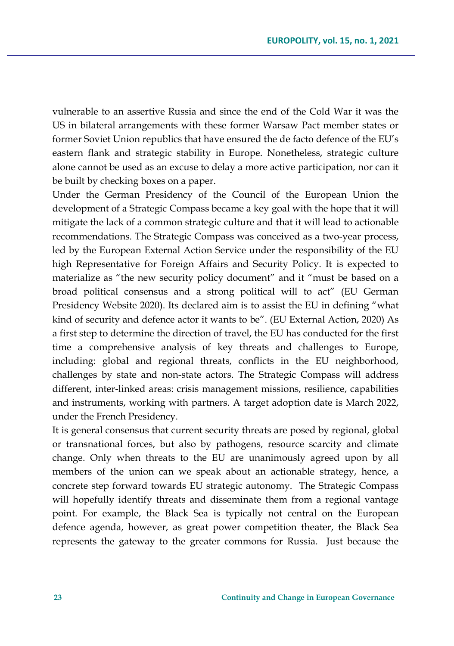vulnerable to an assertive Russia and since the end of the Cold War it was the US in bilateral arrangements with these former Warsaw Pact member states or former Soviet Union republics that have ensured the de facto defence of the EU's eastern flank and strategic stability in Europe. Nonetheless, strategic culture alone cannot be used as an excuse to delay a more active participation, nor can it be built by checking boxes on a paper.

Under the German Presidency of the Council of the European Union the development of a Strategic Compass became a key goal with the hope that it will mitigate the lack of a common strategic culture and that it will lead to actionable recommendations. The Strategic Compass was conceived as a two-year process, led by the European External Action Service under the responsibility of the EU high Representative for Foreign Affairs and Security Policy. It is expected to materialize as "the new security policy document" and it "must be based on a broad political consensus and a strong political will to act" (EU German Presidency Website 2020). Its declared aim is to assist the EU in defining "what kind of security and defence actor it wants to be". (EU External Action, 2020) As a first step to determine the direction of travel, the EU has conducted for the first time a comprehensive analysis of key threats and challenges to Europe, including: global and regional threats, conflicts in the EU neighborhood, challenges by state and non-state actors. The Strategic Compass will address different, inter-linked areas: crisis management missions, resilience, capabilities and instruments, working with partners. A target adoption date is March 2022, under the French Presidency.

It is general consensus that current security threats are posed by regional, global or transnational forces, but also by pathogens, resource scarcity and climate change. Only when threats to the EU are unanimously agreed upon by all members of the union can we speak about an actionable strategy, hence, a concrete step forward towards EU strategic autonomy. The Strategic Compass will hopefully identify threats and disseminate them from a regional vantage point. For example, the Black Sea is typically not central on the European defence agenda, however, as great power competition theater, the Black Sea represents the gateway to the greater commons for Russia. Just because the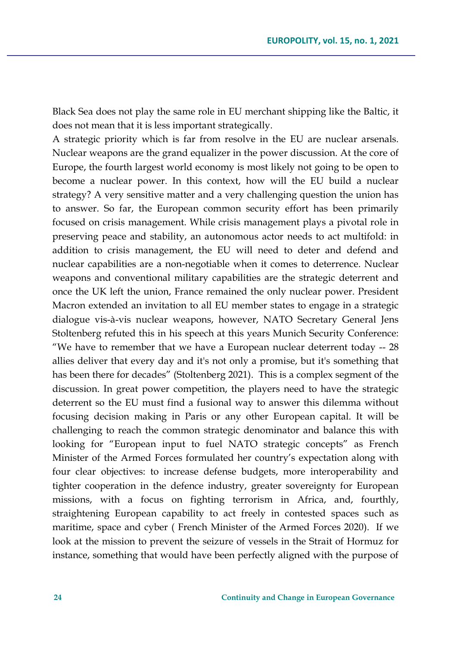Black Sea does not play the same role in EU merchant shipping like the Baltic, it does not mean that it is less important strategically.

A strategic priority which is far from resolve in the EU are nuclear arsenals. Nuclear weapons are the grand equalizer in the power discussion. At the core of Europe, the fourth largest world economy is most likely not going to be open to become a nuclear power. In this context, how will the EU build a nuclear strategy? A very sensitive matter and a very challenging question the union has to answer. So far, the European common security effort has been primarily focused on crisis management. While crisis management plays a pivotal role in preserving peace and stability, an autonomous actor needs to act multifold: in addition to crisis management, the EU will need to deter and defend and nuclear capabilities are a non-negotiable when it comes to deterrence. Nuclear weapons and conventional military capabilities are the strategic deterrent and once the UK left the union, France remained the only nuclear power. President Macron extended an invitation to all EU member states to engage in a strategic dialogue vis-à-vis nuclear weapons, however, NATO Secretary General Jens Stoltenberg refuted this in his speech at this years Munich Security Conference: "We have to remember that we have a European nuclear deterrent today -- 28 allies deliver that every day and it's not only a promise, but it's something that has been there for decades" (Stoltenberg 2021). This is a complex segment of the discussion. In great power competition, the players need to have the strategic deterrent so the EU must find a fusional way to answer this dilemma without focusing decision making in Paris or any other European capital. It will be challenging to reach the common strategic denominator and balance this with looking for "European input to fuel NATO strategic concepts" as French Minister of the Armed Forces formulated her country's expectation along with four clear objectives: to increase defense budgets, more interoperability and tighter cooperation in the defence industry, greater sovereignty for European missions, with a focus on fighting terrorism in Africa, and, fourthly, straightening European capability to act freely in contested spaces such as maritime, space and cyber ( French Minister of the Armed Forces 2020). If we look at the mission to prevent the seizure of vessels in the Strait of Hormuz for instance, something that would have been perfectly aligned with the purpose of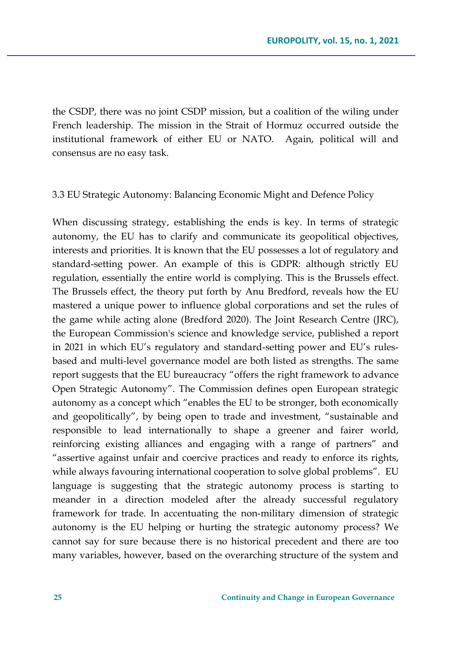the CSDP, there was no joint CSDP mission, but a coalition of the wiling under French leadership. The mission in the Strait of Hormuz occurred outside the institutional framework of either EU or NATO. Again, political will and consensus are no easy task.

#### 3.3 EU Strategic Autonomy: Balancing Economic Might and Defence Policy

When discussing strategy, establishing the ends is key. In terms of strategic autonomy, the EU has to clarify and communicate its geopolitical objectives, interests and priorities. It is known that the EU possesses a lot of regulatory and standard-setting power. An example of this is GDPR: although strictly EU regulation, essentially the entire world is complying. This is the Brussels effect. The Brussels effect, the theory put forth by Anu Bredford, reveals how the EU mastered a unique power to influence global corporations and set the rules of the game while acting alone (Bredford 2020). The Joint Research Centre (JRC), the European Commission's science and knowledge service, published a report in 2021 in which EU's regulatory and standard-setting power and EU's rulesbased and multi-level governance model are both listed as strengths. The same report suggests that the EU bureaucracy "offers the right framework to advance Open Strategic Autonomy". The Commission defines open European strategic autonomy as a concept which "enables the EU to be stronger, both economically and geopolitically", by being open to trade and investment, "sustainable and responsible to lead internationally to shape a greener and fairer world, reinforcing existing alliances and engaging with a range of partners" and "assertive against unfair and coercive practices and ready to enforce its rights, while always favouring international cooperation to solve global problems". EU language is suggesting that the strategic autonomy process is starting to meander in a direction modeled after the already successful regulatory framework for trade. In accentuating the non-military dimension of strategic autonomy is the EU helping or hurting the strategic autonomy process? We cannot say for sure because there is no historical precedent and there are too many variables, however, based on the overarching structure of the system and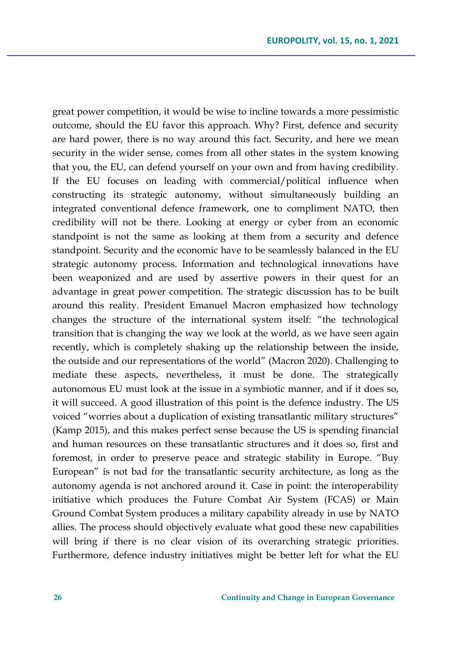great power competition, it would be wise to incline towards a more pessimistic outcome, should the EU favor this approach. Why? First, defence and security are hard power, there is no way around this fact. Security, and here we mean security in the wider sense, comes from all other states in the system knowing that you, the EU, can defend yourself on your own and from having credibility. If the EU focuses on leading with commercial/political influence when constructing its strategic autonomy, without simultaneously building an integrated conventional defence framework, one to compliment NATO, then credibility will not be there. Looking at energy or cyber from an economic standpoint is not the same as looking at them from a security and defence standpoint. Security and the economic have to be seamlessly balanced in the EU strategic autonomy process. Information and technological innovations have been weaponized and are used by assertive powers in their quest for an advantage in great power competition. The strategic discussion has to be built around this reality. President Emanuel Macron emphasized how technology changes the structure of the international system itself: "the technological transition that is changing the way we look at the world, as we have seen again recently, which is completely shaking up the relationship between the inside, the outside and our representations of the world" (Macron 2020). Challenging to mediate these aspects, nevertheless, it must be done. The strategically autonomous EU must look at the issue in a symbiotic manner, and if it does so, it will succeed. A good illustration of this point is the defence industry. The US voiced "worries about a duplication of existing transatlantic military structures" (Kamp 2015), and this makes perfect sense because the US is spending financial and human resources on these transatlantic structures and it does so, first and foremost, in order to preserve peace and strategic stability in Europe. "Buy European" is not bad for the transatlantic security architecture, as long as the autonomy agenda is not anchored around it. Case in point: the interoperability initiative which produces the Future Combat Air System (FCAS) or Main Ground Combat System produces a military capability already in use by NATO allies. The process should objectively evaluate what good these new capabilities will bring if there is no clear vision of its overarching strategic priorities. Furthermore, defence industry initiatives might be better left for what the EU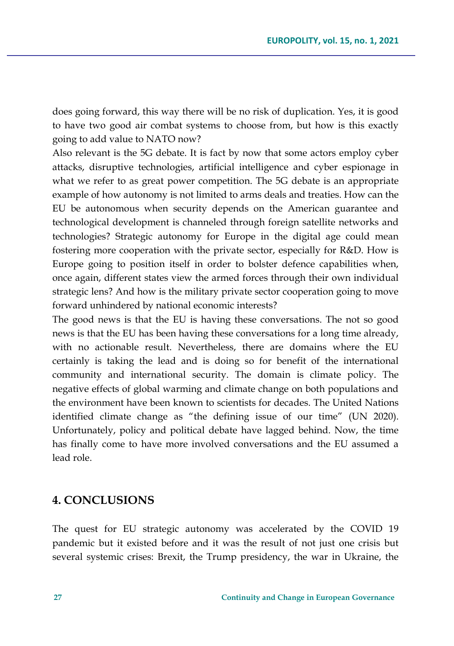does going forward, this way there will be no risk of duplication. Yes, it is good to have two good air combat systems to choose from, but how is this exactly going to add value to NATO now?

Also relevant is the 5G debate. It is fact by now that some actors employ cyber attacks, disruptive technologies, artificial intelligence and cyber espionage in what we refer to as great power competition. The 5G debate is an appropriate example of how autonomy is not limited to arms deals and treaties. How can the EU be autonomous when security depends on the American guarantee and technological development is channeled through foreign satellite networks and technologies? Strategic autonomy for Europe in the digital age could mean fostering more cooperation with the private sector, especially for R&D. How is Europe going to position itself in order to bolster defence capabilities when, once again, different states view the armed forces through their own individual strategic lens? And how is the military private sector cooperation going to move forward unhindered by national economic interests?

The good news is that the EU is having these conversations. The not so good news is that the EU has been having these conversations for a long time already, with no actionable result. Nevertheless, there are domains where the EU certainly is taking the lead and is doing so for benefit of the international community and international security. The domain is climate policy. The negative effects of global warming and climate change on both populations and the environment have been known to scientists for decades. The United Nations identified climate change as "the defining issue of our time" (UN 2020). Unfortunately, policy and political debate have lagged behind. Now, the time has finally come to have more involved conversations and the EU assumed a lead role.

### **4. CONCLUSIONS**

The quest for EU strategic autonomy was accelerated by the COVID 19 pandemic but it existed before and it was the result of not just one crisis but several systemic crises: Brexit, the Trump presidency, the war in Ukraine, the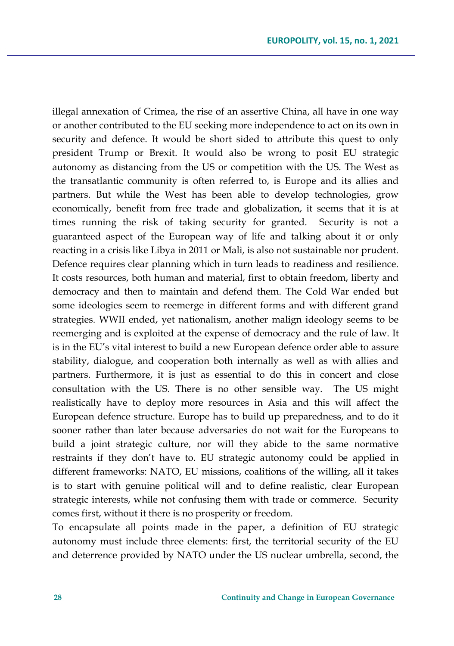illegal annexation of Crimea, the rise of an assertive China, all have in one way or another contributed to the EU seeking more independence to act on its own in security and defence. It would be short sided to attribute this quest to only president Trump or Brexit. It would also be wrong to posit EU strategic autonomy as distancing from the US or competition with the US. The West as the transatlantic community is often referred to, is Europe and its allies and partners. But while the West has been able to develop technologies, grow economically, benefit from free trade and globalization, it seems that it is at times running the risk of taking security for granted. Security is not a guaranteed aspect of the European way of life and talking about it or only reacting in a crisis like Libya in 2011 or Mali, is also not sustainable nor prudent. Defence requires clear planning which in turn leads to readiness and resilience. It costs resources, both human and material, first to obtain freedom, liberty and democracy and then to maintain and defend them. The Cold War ended but some ideologies seem to reemerge in different forms and with different grand strategies. WWII ended, yet nationalism, another malign ideology seems to be reemerging and is exploited at the expense of democracy and the rule of law. It is in the EU's vital interest to build a new European defence order able to assure stability, dialogue, and cooperation both internally as well as with allies and partners. Furthermore, it is just as essential to do this in concert and close consultation with the US. There is no other sensible way. The US might realistically have to deploy more resources in Asia and this will affect the European defence structure. Europe has to build up preparedness, and to do it sooner rather than later because adversaries do not wait for the Europeans to build a joint strategic culture, nor will they abide to the same normative restraints if they don't have to. EU strategic autonomy could be applied in different frameworks: NATO, EU missions, coalitions of the willing, all it takes is to start with genuine political will and to define realistic, clear European strategic interests, while not confusing them with trade or commerce. Security comes first, without it there is no prosperity or freedom.

To encapsulate all points made in the paper, a definition of EU strategic autonomy must include three elements: first, the territorial security of the EU and deterrence provided by NATO under the US nuclear umbrella, second, the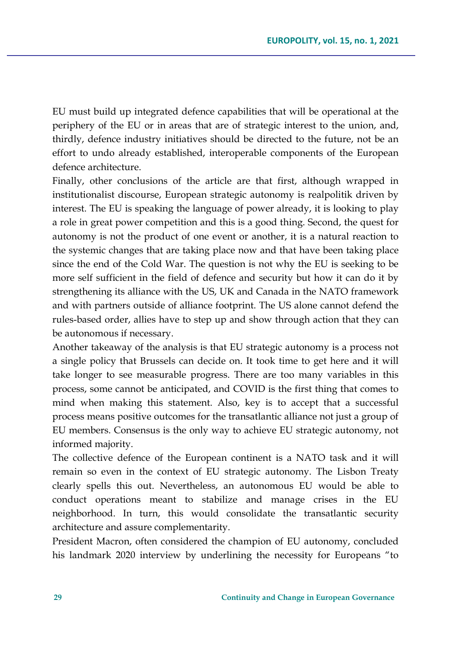EU must build up integrated defence capabilities that will be operational at the periphery of the EU or in areas that are of strategic interest to the union, and, thirdly, defence industry initiatives should be directed to the future, not be an effort to undo already established, interoperable components of the European defence architecture.

Finally, other conclusions of the article are that first, although wrapped in institutionalist discourse, European strategic autonomy is realpolitik driven by interest. The EU is speaking the language of power already, it is looking to play a role in great power competition and this is a good thing. Second, the quest for autonomy is not the product of one event or another, it is a natural reaction to the systemic changes that are taking place now and that have been taking place since the end of the Cold War. The question is not why the EU is seeking to be more self sufficient in the field of defence and security but how it can do it by strengthening its alliance with the US, UK and Canada in the NATO framework and with partners outside of alliance footprint. The US alone cannot defend the rules-based order, allies have to step up and show through action that they can be autonomous if necessary.

Another takeaway of the analysis is that EU strategic autonomy is a process not a single policy that Brussels can decide on. It took time to get here and it will take longer to see measurable progress. There are too many variables in this process, some cannot be anticipated, and COVID is the first thing that comes to mind when making this statement. Also, key is to accept that a successful process means positive outcomes for the transatlantic alliance not just a group of EU members. Consensus is the only way to achieve EU strategic autonomy, not informed majority.

The collective defence of the European continent is a NATO task and it will remain so even in the context of EU strategic autonomy. The Lisbon Treaty clearly spells this out. Nevertheless, an autonomous EU would be able to conduct operations meant to stabilize and manage crises in the EU neighborhood. In turn, this would consolidate the transatlantic security architecture and assure complementarity.

President Macron, often considered the champion of EU autonomy, concluded his landmark 2020 interview by underlining the necessity for Europeans "to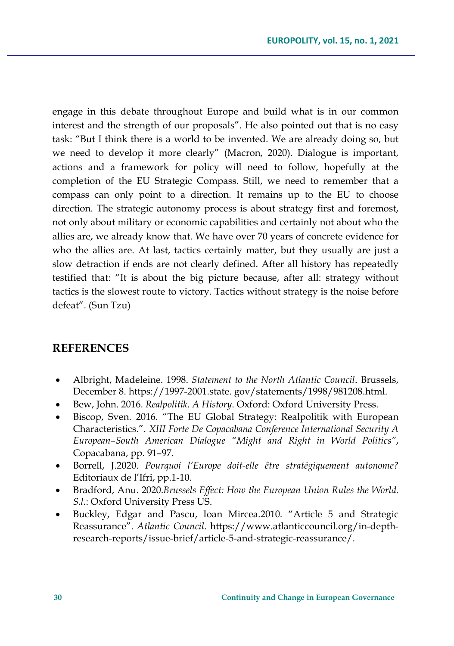engage in this debate throughout Europe and build what is in our common interest and the strength of our proposals". He also pointed out that is no easy task: "But I think there is a world to be invented. We are already doing so, but we need to develop it more clearly" (Macron, 2020). Dialogue is important, actions and a framework for policy will need to follow, hopefully at the completion of the EU Strategic Compass. Still, we need to remember that a compass can only point to a direction. It remains up to the EU to choose direction. The strategic autonomy process is about strategy first and foremost, not only about military or economic capabilities and certainly not about who the allies are, we already know that. We have over 70 years of concrete evidence for who the allies are. At last, tactics certainly matter, but they usually are just a slow detraction if ends are not clearly defined. After all history has repeatedly testified that: "It is about the big picture because, after all: strategy without tactics is the slowest route to victory. Tactics without strategy is the noise before defeat". (Sun Tzu)

## **REFERENCES**

- Albright, Madeleine. 1998. *Statement to the North Atlantic Council*. Brussels, December 8. https://1997-2001.state. gov/statements/1998/981208.html.
- Bew, John. 2016. *Realpolitik. A History*. Oxford: Oxford University Press.
- Biscop, Sven. 2016. "The EU Global Strategy: Realpolitik with European Characteristics.". *XIII Forte De Copacabana Conference International Security A European–South American Dialogue "Might and Right in World Politics"*, Copacabana, pp. 91–97.
- Borrell, J.2020. *Pourquoi l'Europe doit-elle être stratégiquement autonome?* Editoriaux de l'Ifri, pp.1-10.
- Bradford, Anu. 2020.*Brussels Effect: How the European Union Rules the World. S.l.*: Oxford University Press US.
- Buckley, Edgar and Pascu, Ioan Mircea.2010. "Article 5 and Strategic Reassurance". *Atlantic Council*. https://www.atlanticcouncil.org/in-depthresearch-reports/issue-brief/article-5-and-strategic-reassurance/.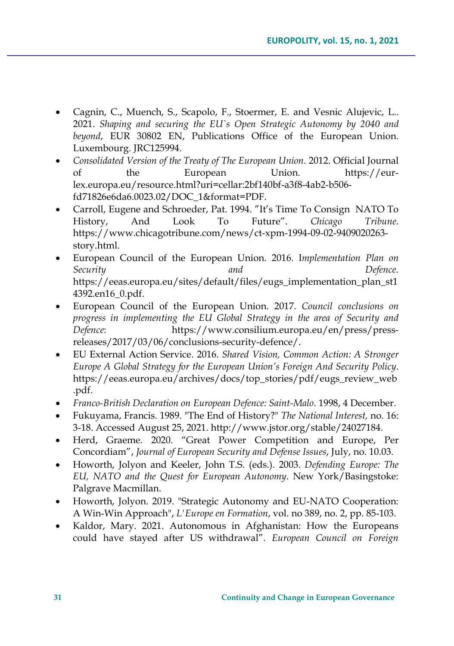- Cagnin, C., Muench, S., Scapolo, F., Stoermer, E. and Vesnic Alujevic, L.. 2021. *Shaping and securing the EU`s Open Strategic Autonomy by 2040 and beyond*, EUR 30802 EN, Publications Office of the European Union. Luxembourg. JRC125994.
- *Consolidated Version of the Treaty of The European Union*. 2012. Official Journal of the European Union. https://eurlex.europa.eu/resource.html?uri=cellar:2bf140bf-a3f8-4ab2-b506 fd71826e6da6.0023.02/DOC\_1&format=PDF.
- Carroll, Eugene and Schroeder, Pat. 1994. "It's Time To Consign NATO To History, And Look To Future". *Chicago Tribune*. https://www.chicagotribune.com/news/ct-xpm-1994-09-02-9409020263 story.html.
- European Council of the European Union. 2016. I*mplementation Plan on Security and Defence.* https://eeas.europa.eu/sites/default/files/eugs\_implementation\_plan\_st1 4392.en16\_0.pdf.
- European Council of the European Union. 2017. *Council conclusions on progress in implementing the EU Global Strategy in the area of Security and Defence*: https://www.consilium.europa.eu/en/press/pressreleases/2017/03/06/conclusions-security-defence/.
- EU External Action Service. 2016. *Shared Vision, Common Action: A Stronger Europe A Global Strategy for the European Union's Foreign And Security Policy*. https://eeas.europa.eu/archives/docs/top\_stories/pdf/eugs\_review\_web .pdf.
- *Franco-British Declaration on European Defence: Saint-Malo*. 1998, 4 December.
- Fukuyama, Francis. 1989. "The End of History?" *The National Interest,* no. 16: 3-18. Accessed August 25, 2021. http://www.jstor.org/stable/24027184.
- Herd, Graeme. 2020. "Great Power Competition and Europe, Per Concordiam", *Journal of European Security and Defense Issues*, July, no. 10.03.
- Howorth, Jolyon and Keeler, John T.S. (eds.). 2003. *Defending Europe: The EU, NATO and the Quest for European Autonomy*. New York/Basingstoke: Palgrave Macmillan.
- Howorth, Jolyon. 2019. "Strategic Autonomy and EU-NATO Cooperation: A Win-Win Approach", *L'Europe en Formation*, vol. no 389, no. 2, pp. 85-103.
- Kaldor, Mary. 2021. Autonomous in Afghanistan: How the Europeans could have stayed after US withdrawal". *European Council on Foreign*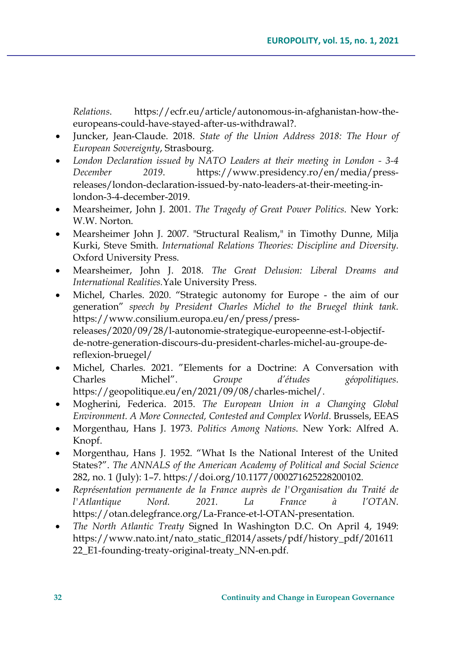*Relations*. https://ecfr.eu/article/autonomous-in-afghanistan-how-theeuropeans-could-have-stayed-after-us-withdrawal?.

- Juncker, Jean-Claude. 2018. *State of the Union Address 2018: The Hour of European Sovereignty*, Strasbourg.
- *London Declaration issued by NATO Leaders at their meeting in London - 3-4 December 2019*. https://www.presidency.ro/en/media/pressreleases/london-declaration-issued-by-nato-leaders-at-their-meeting-inlondon-3-4-december-2019.
- Mearsheimer, John J. 2001. *The Tragedy of Great Power Politics*. New York: W.W. Norton.
- Mearsheimer John J. 2007. "Structural Realism," in Timothy Dunne, Milja Kurki, Steve Smith. *International Relations Theories: Discipline and Diversity*. Oxford University Press.
- Mearsheimer, John J. 2018. *The Great Delusion: Liberal Dreams and International Realities.*Yale University Press.
- Michel, Charles. 2020. "Strategic autonomy for Europe the aim of our generation" *speech by President Charles Michel to the Bruegel think tank.* https://www.consilium.europa.eu/en/press/pressreleases/2020/09/28/l-autonomie-strategique-europeenne-est-l-objectifde-notre-generation-discours-du-president-charles-michel-au-groupe-dereflexion-bruegel/
- Michel, Charles. 2021. "Elements for a Doctrine: A Conversation with Charles Michel". *Groupe d'études géopolitiques*. https://geopolitique.eu/en/2021/09/08/charles-michel/.
- Mogherini, Federica. 2015. *The European Union in a Changing Global Environment. A More Connected, Contested and Complex World*. Brussels, EEAS
- Morgenthau, Hans J. 1973. *Politics Among Nations*. New York: Alfred A. Knopf.
- Morgenthau, Hans J. 1952. "What Is the National Interest of the United States?". *The ANNALS of the American Academy of Political and Social Science* 282, no. 1 (July): 1–7. https://doi.org/10.1177/000271625228200102.
- *Représentation permanente de la France auprès de l'Organisation du Traité de l'Atlantique Nord. 2021. La France à l'OTAN*. https://otan.delegfrance.org/La-France-et-l-OTAN-presentation.
- *The North Atlantic Treaty* Signed In Washington D.C. On April 4, 1949: https://www.nato.int/nato\_static\_fl2014/assets/pdf/history\_pdf/201611 22 E1-founding-treaty-original-treaty NN-en.pdf.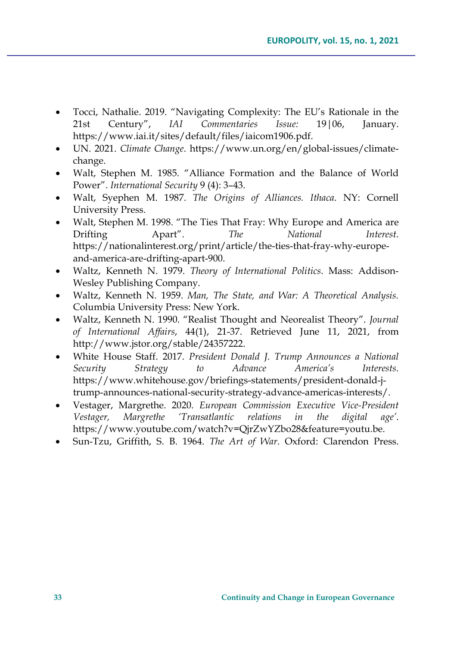- Tocci, Nathalie. 2019. "Navigating Complexity: The EU's Rationale in the 21st Century", *IAI Commentaries Issue:* 19|06, January. https://www.iai.it/sites/default/files/iaicom1906.pdf.
- UN. 2021. *Climate Change*. https://www.un.org/en/global-issues/climatechange.
- Walt, Stephen M. 1985. "Alliance Formation and the Balance of World Power". *International Security* 9 (4): 3–43.
- Walt, Syephen M. 1987. *The Origins of Alliances. Ithaca*. NY: Cornell University Press.
- Walt, Stephen M. 1998. "The Ties That Fray: Why Europe and America are Drifting Apart". *The National Interest*. https://nationalinterest.org/print/article/the-ties-that-fray-why-europeand-america-are-drifting-apart-900.
- Waltz, Kenneth N. 1979. *Theory of International Politics*. Mass: Addison-Wesley Publishing Company.
- Waltz, Kenneth N. 1959. *Man, The State, and War: A Theoretical Analysis.*  Columbia University Press: New York.
- Waltz, Kenneth N. 1990. "Realist Thought and Neorealist Theory". *Journal of International Affairs*, 44(1), 21-37. Retrieved June 11, 2021, from http://www.jstor.org/stable/24357222.
- White House Staff. 2017. *President Donald J. Trump Announces a National Security Strategy to Advance America's Interests*. https://www.whitehouse.gov/briefings-statements/president-donald-jtrump-announces-national-security-strategy-advance-americas-interests/.
- Vestager, Margrethe. 2020. *European Commission Executive Vice-President Vestager, Margrethe 'Transatlantic relations in the digital age'*. https://www.youtube.com/watch?v=QjrZwYZbo28&feature=youtu.be.
- Sun-Tzu, Griffith, S. B. 1964. *The Art of War*. Oxford: Clarendon Press.